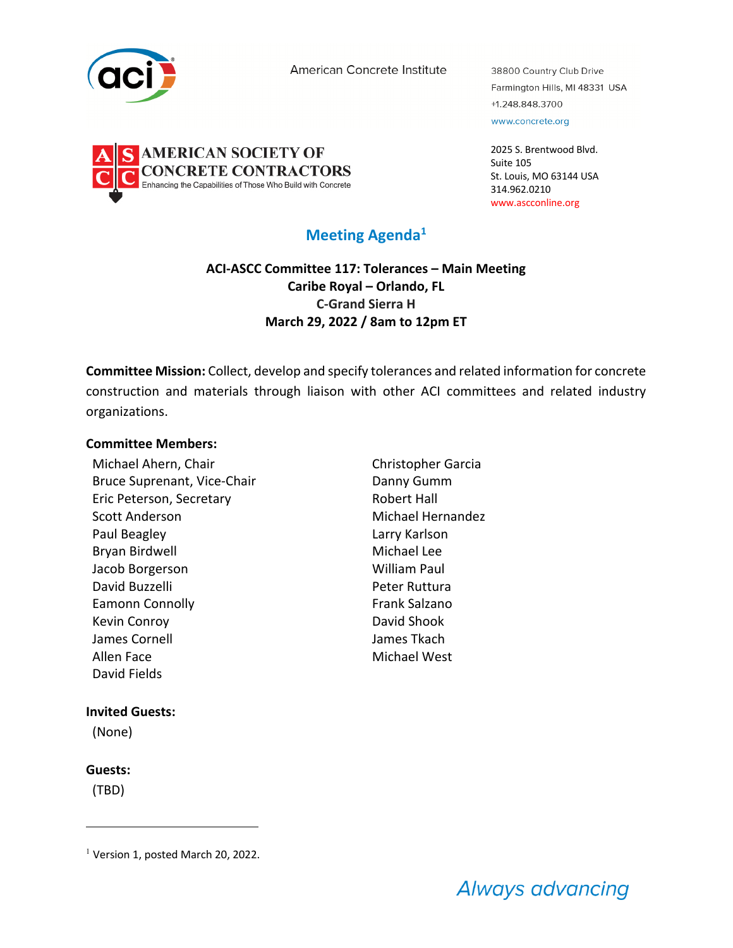

**AMERICAN SOCIETY OF** 

**ONCRETE CONTRACTORS** 

abilities of Those Who Build with Concrete

American Concrete Institute

38800 Country Club Drive Farmington Hills, MI 48331 USA +1.248.848.3700 www.concrete.org

2025 S. Brentwood Blvd. Suite 105 St. Louis, MO 63144 USA 314.962.0210 www.ascconline.org

# **Meeting Agenda1**

**ACI-ASCC Committee 117: Tolerances – Main Meeting Caribe Royal – Orlando, FL C-Grand Sierra H March 29, 2022 / 8am to 12pm ET**

**Committee Mission:** Collect, develop and specify tolerances and related information for concrete construction and materials through liaison with other ACI committees and related industry organizations.

#### **Committee Members:**

Michael Ahern, Chair Christopher Garcia Bruce Suprenant, Vice-Chair **Danny Gumm** Eric Peterson, Secretary **Robert Hall** Scott Anderson **Michael Hernandez** Paul Beagley **Lack Communist Communist Communist Communist Communist Communist Communist Communist Communist Communist Communist Communist Communist Communist Communist Communist Communist Communist Communist Communist Com** Bryan Birdwell Michael Lee Jacob Borgerson William Paul David Buzzelli **National Peter Ruttura** Eamonn Connolly **Frank Salzano** Kevin Conroy **David Shook** James Cornell James Tkach Allen Face Michael West David Fields

## **Invited Guests:**

(None)

## **Guests:**

(TBD)

 $<sup>1</sup>$  Version 1, posted March 20, 2022.</sup>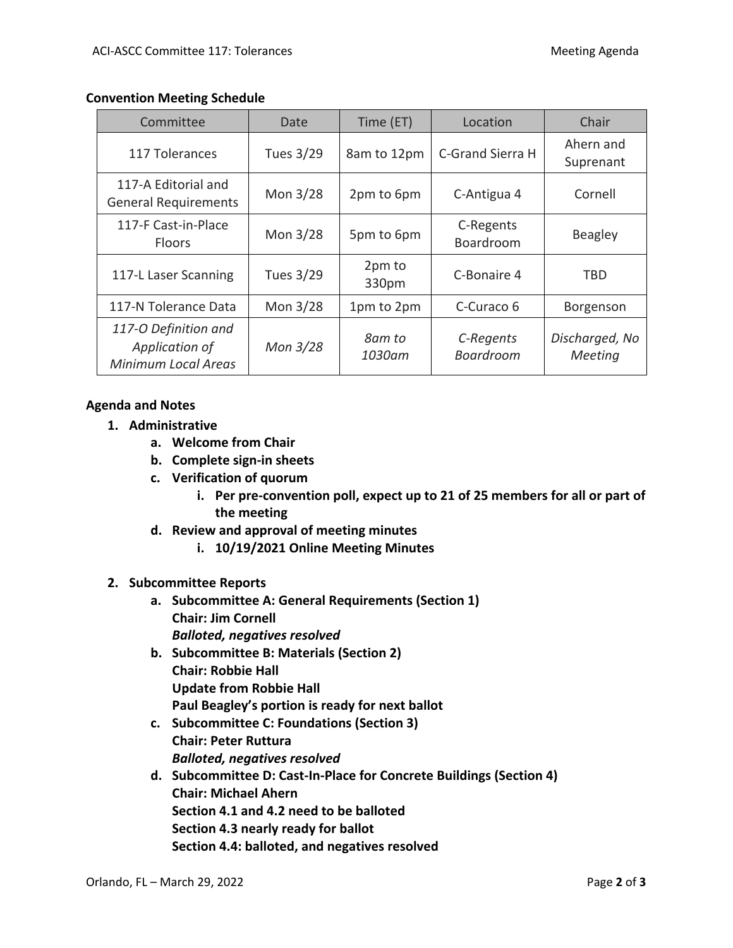#### **Convention Meeting Schedule**

| Committee                                                            | Date      | Time (ET)        | Location                      | Chair                     |
|----------------------------------------------------------------------|-----------|------------------|-------------------------------|---------------------------|
| 117 Tolerances                                                       | Tues 3/29 | 8am to 12pm      | C-Grand Sierra H              | Ahern and<br>Suprenant    |
| 117-A Editorial and<br><b>General Requirements</b>                   | Mon 3/28  | 2pm to 6pm       | C-Antigua 4                   | Cornell                   |
| 117-F Cast-in-Place<br><b>Floors</b>                                 | Mon 3/28  | 5pm to 6pm       | C-Regents<br>Boardroom        | Beagley                   |
| 117-L Laser Scanning                                                 | Tues 3/29 | 2pm to<br>330pm  | C-Bonaire 4                   | TBD                       |
| 117-N Tolerance Data                                                 | Mon 3/28  | 1pm to 2pm       | C-Curaco 6                    | Borgenson                 |
| 117-O Definition and<br>Application of<br><b>Minimum Local Areas</b> | Mon 3/28  | 8am to<br>1030am | C-Regents<br><b>Boardroom</b> | Discharged, No<br>Meeting |

#### **Agenda and Notes**

- **1. Administrative**
	- **a. Welcome from Chair**
	- **b. Complete sign-in sheets**
	- **c. Verification of quorum**
		- **i. Per pre-convention poll, expect up to 21 of 25 members for all or part of the meeting**
	- **d. Review and approval of meeting minutes**
		- **i. 10/19/2021 Online Meeting Minutes**

## **2. Subcommittee Reports**

- **a. Subcommittee A: General Requirements (Section 1) Chair: Jim Cornell** *Balloted, negatives resolved*
- **b. Subcommittee B: Materials (Section 2) Chair: Robbie Hall Update from Robbie Hall Paul Beagley's portion is ready for next ballot**
- **c. Subcommittee C: Foundations (Section 3) Chair: Peter Ruttura** *Balloted, negatives resolved*
- **d. Subcommittee D: Cast-In-Place for Concrete Buildings (Section 4) Chair: Michael Ahern Section 4.1 and 4.2 need to be balloted Section 4.3 nearly ready for ballot Section 4.4: balloted, and negatives resolved**